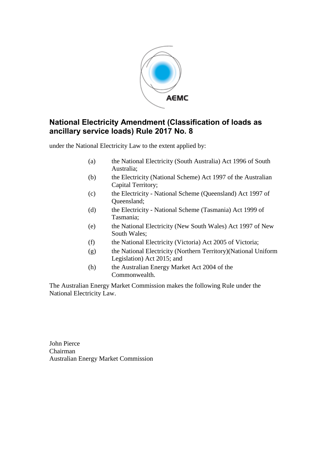

#### **National Electricity Amendment (Classification of loads as ancillary service loads) Rule 2017 No. 8**

under the National Electricity Law to the extent applied by:

- (a) the National Electricity (South Australia) Act 1996 of South Australia;
- (b) the Electricity (National Scheme) Act 1997 of the Australian Capital Territory;
- (c) the Electricity National Scheme (Queensland) Act 1997 of Queensland;
- (d) the Electricity National Scheme (Tasmania) Act 1999 of Tasmania;
- (e) the National Electricity (New South Wales) Act 1997 of New South Wales;
- (f) the National Electricity (Victoria) Act 2005 of Victoria;
- (g) the National Electricity (Northern Territory)(National Uniform Legislation) Act 2015; and
- (h) the Australian Energy Market Act 2004 of the Commonwealth.

The Australian Energy Market Commission makes the following Rule under the National Electricity Law.

John Pierce Chairman Australian Energy Market Commission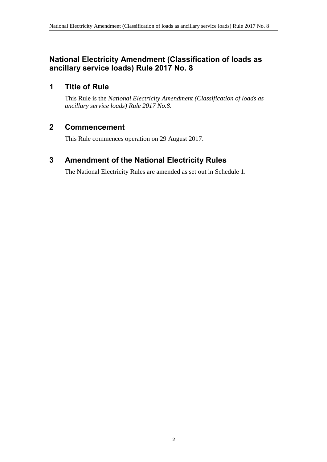#### **National Electricity Amendment (Classification of loads as ancillary service loads) Rule 2017 No. 8**

#### **1 Title of Rule**

This Rule is the *National Electricity Amendment (Classification of loads as ancillary service loads) Rule 2017 No.8*.

#### **2 Commencement**

This Rule commences operation on 29 August 2017.

#### <span id="page-1-0"></span>**3 Amendment of the National Electricity Rules**

The National Electricity Rules are amended as set out in [Schedule 1.](#page-2-0)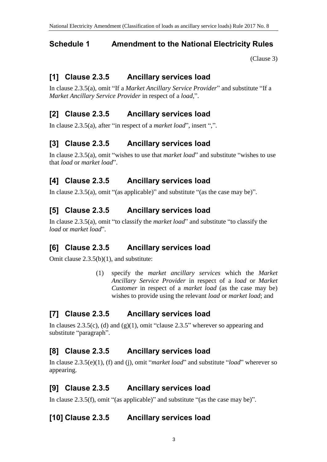### <span id="page-2-0"></span>**Schedule 1 Amendment to the National Electricity Rules**

[\(Clause 3\)](#page-1-0)

## **[1] Clause 2.3.5 Ancillary services load**

In clause 2.3.5(a), omit "If a *Market Ancillary Service Provider*" and substitute "If a *Market Ancillary Service Provider* in respect of a *load*,".

## **[2] Clause 2.3.5 Ancillary services load**

In clause 2.3.5(a), after "in respect of a *market load*", insert ",".

# **[3] Clause 2.3.5 Ancillary services load**

In clause 2.3.5(a), omit "wishes to use that *market load*" and substitute "wishes to use that *load* or *market load*".

# **[4] Clause 2.3.5 Ancillary services load**

In clause 2.3.5(a), omit "(as applicable)" and substitute "(as the case may be)".

### **[5] Clause 2.3.5 Ancillary services load**

In clause 2.3.5(a), omit "to classify the *market load*" and substitute "to classify the *load* or *market load*".

## **[6] Clause 2.3.5 Ancillary services load**

Omit clause 2.3.5(b)(1), and substitute:

(1) specify the *market ancillary services* which the *Market Ancillary Service Provider* in respect of a *load* or *Market Customer* in respect of a *market load* (as the case may be) wishes to provide using the relevant *load* or *market load*; and

#### **[7] Clause 2.3.5 Ancillary services load**

In clauses 2.3.5(c), (d) and (g)(1), omit "clause 2.3.5" wherever so appearing and substitute "paragraph".

## **[8] Clause 2.3.5 Ancillary services load**

In clause 2.3.5(e)(1), (f) and (j), omit "*market load*" and substitute "*load*" wherever so appearing.

#### **[9] Clause 2.3.5 Ancillary services load**

In clause 2.3.5(f), omit "(as applicable)" and substitute "(as the case may be)".

## **[10] Clause 2.3.5 Ancillary services load**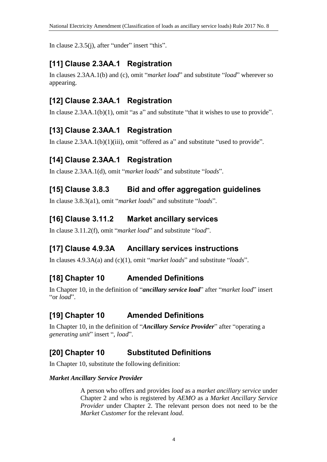In clause 2.3.5(j), after "under" insert "this".

# **[11] Clause 2.3AA.1 Registration**

In clauses 2.3AA.1(b) and (c), omit "*market load*" and substitute "*load*" wherever so appearing.

# **[12] Clause 2.3AA.1 Registration**

In clause  $2.3AA.1(b)(1)$ , omit "as a" and substitute "that it wishes to use to provide".

# **[13] Clause 2.3AA.1 Registration**

In clause 2.3AA.1(b)(1)(iii), omit "offered as a" and substitute "used to provide".

# **[14] Clause 2.3AA.1 Registration**

In clause 2.3AA.1(d), omit "*market loads*" and substitute "*loads*".

# **[15] Clause 3.8.3 Bid and offer aggregation guidelines**

In clause 3.8.3(a1), omit "*market loads*" and substitute "*loads*".

# **[16] Clause 3.11.2 Market ancillary services**

In clause 3.11.2(f), omit "*market load*" and substitute "*load*".

# **[17] Clause 4.9.3A Ancillary services instructions**

In clauses 4.9.3A(a) and (c)(1), omit "*market loads*" and substitute "*loads*".

# **[18] Chapter 10 Amended Definitions**

In Chapter 10, in the definition of "*ancillary service load*" after "*market load*" insert "or *load*".

# **[19] Chapter 10 Amended Definitions**

In Chapter 10, in the definition of "*Ancillary Service Provider*" after "operating a *generating unit*" insert ", *load*".

# **[20] Chapter 10 Substituted Definitions**

In Chapter 10, substitute the following definition:

#### *Market Ancillary Service Provider*

A person who offers and provides *load* as a *market ancillary service* under Chapter 2 and who is registered by *AEMO* as a *Market Ancillary Service Provider* under Chapter 2. The relevant person does not need to be the *Market Customer* for the relevant *load*.